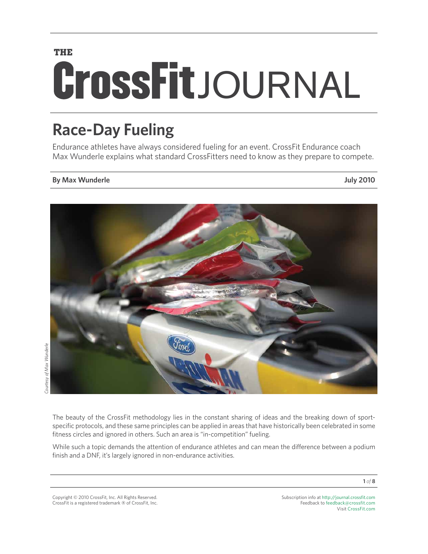# **THE CrossFit** JOURNAL

# **Race-Day Fueling**

Endurance athletes have always considered fueling for an event. CrossFit Endurance coach Max Wunderle explains what standard CrossFitters need to know as they prepare to compete.

# **By Max Wunderle July 2010**



The beauty of the CrossFit methodology lies in the constant sharing of ideas and the breaking down of sportspecific protocols, and these same principles can be applied in areas that have historically been celebrated in some fitness circles and ignored in others. Such an area is "in-competition" fueling.

While such a topic demands the attention of endurance athletes and can mean the difference between a podium finish and a DNF, it's largely ignored in non-endurance activities.

Copyright © 2010 CrossFit, Inc. All Rights Reserved. CrossFit is a registered trademark ‰ of CrossFit, Inc. Subscription info at <http://journal.crossfit.com> Feedback to [feedback@crossfit.com](mailto:feedback@crossfit.com) Visit [CrossFit.com](http://www.crossfit.com)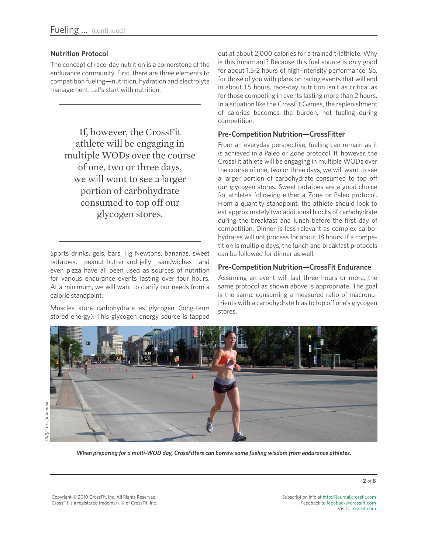# **Nutrition Protocol**

The concept of race-day nutrition is a cornerstone of the endurance community. First, there are three elements to competition fueling—nutrition, hydration and electrolyte management. Let's start with nutrition.

If, however, the CrossFit athlete will be engaging in multiple WODs over the course of one, two or three days, we will want to see a larger portion of carbohydrate consumed to top off our glycogen stores.

Sports drinks, gels, bars, Fig Newtons, bananas, sweet potatoes, peanut-butter-and-jelly sandwiches and even pizza have all been used as sources of nutrition for various endurance events lasting over four hours. At a minimum, we will want to clarify our needs from a caloric standpoint.

Muscles store carbohydrate as glycogen (long-term stored energy). This glycogen energy source is tapped out at about 2,000 calories for a trained triathlete. Why is this important? Because this fuel source is only good for about 1.5-2 hours of high-intensity performance. So, for those of you with plans on racing events that will end in about 1.5 hours, race-day nutrition isn't as critical as for those competing in events lasting more than 2 hours. In a situation like the CrossFit Games, the replenishment of calories becomes the burden, not fueling during competition.

# **Pre-Competition Nutrition—CrossFitter**

From an everyday perspective, fueling can remain as it is achieved in a Paleo or Zone protocol. If, however, the CrossFit athlete will be engaging in multiple WODs over the course of one, two or three days, we will want to see a larger portion of carbohydrate consumed to top off our glycogen stores. Sweet potatoes are a good choice for athletes following either a Zone or Paleo protocol. From a quantity standpoint, the athlete should look to eat approximately two additional blocks of carbohydrate during the breakfast and lunch before the first day of competition. Dinner is less relevant as complex carbohydrates will not process for about 18 hours. If a competition is multiple days, the lunch and breakfast protocols can be followed for dinner as well.

# **Pre-Competition Nutrition—CrossFit Endurance**

Assuming an event will last three hours or more, the same protocol as shown above is appropriate. The goal is the same: consuming a measured ratio of macronutrients with a carbohydrate bias to top off one's glycogen stores.



*When preparing for a multi-WOD day, CrossFitters can borrow some fueling wisdom from endurance athletes.*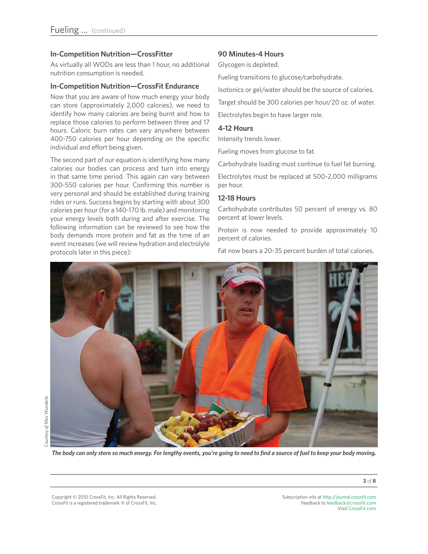# **In-Competition Nutrition—CrossFitter**

As virtually all WODs are less than 1 hour, no additional nutrition consumption is needed.

## **In-Competition Nutrition—CrossFit Endurance**

Now that you are aware of how much energy your body can store (approximately 2,000 calories), we need to identify how many calories are being burnt and how to replace those calories to perform between three and 17 hours. Caloric burn rates can vary anywhere between 400-750 calories per hour depending on the specific individual and effort being given.

The second part of our equation is identifying how many calories our bodies can process and turn into energy in that same time period. This again can vary between 300-550 calories per hour. Confirming this number is very personal and should be established during training rides or runs. Success begins by starting with about 300 calories per hour (for a 140-170 lb. male) and monitoring your energy levels both during and after exercise. The following information can be reviewed to see how the body demands more protein and fat as the time of an event increases (we will review hydration and electrolyte protocols later in this piece):

## **90 Minutes-4 Hours**

Glycogen is depleted.

Fueling transitions to glucose/carbohydrate.

Isotonics or gel/water should be the source of calories.

Target should be 300 calories per hour/20 oz. of water.

Electrolytes begin to have larger role.

# **4-12 Hours**

Intensity trends lower.

Fueling moves from glucose to fat.

Carbohydrate loading must continue to fuel fat burning.

Electrolytes must be replaced at 500-2,000 milligrams per hour.

## **12-18 Hours**

Carbohydrate contributes 50 percent of energy vs. 80 percent at lower levels.

Protein is now needed to provide approximately 10 percent of calories.

Fat now bears a 20-35 percent burden of total calories.



Copyright © 2010 CrossFit, Inc. All Rights Reserved. CrossFit is a registered trademark ‰ of CrossFit, Inc.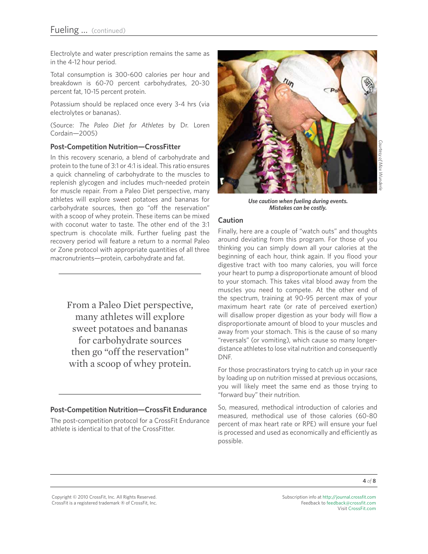Electrolyte and water prescription remains the same as in the 4-12 hour period.

Total consumption is 300-600 calories per hour and breakdown is 60-70 percent carbohydrates, 20-30 percent fat, 10-15 percent protein.

Potassium should be replaced once every 3-4 hrs (via electrolytes or bananas).

(Source: *The Paleo Diet for Athletes* by Dr. Loren Cordain—2005)

# **Post-Competition Nutrition—CrossFitter**

In this recovery scenario, a blend of carbohydrate and protein to the tune of 3:1 or 4:1 is ideal. This ratio ensures a quick channeling of carbohydrate to the muscles to replenish glycogen and includes much-needed protein for muscle repair. From a Paleo Diet perspective, many athletes will explore sweet potatoes and bananas for carbohydrate sources, then go "off the reservation" with a scoop of whey protein. These items can be mixed with coconut water to taste. The other end of the 3:1 spectrum is chocolate milk. Further fueling past the recovery period will feature a return to a normal Paleo or Zone protocol with appropriate quantities of all three macronutrients—protein, carbohydrate and fat.

> From a Paleo Diet perspective, many athletes will explore sweet potatoes and bananas for carbohydrate sources then go "off the reservation" with a scoop of whey protein.

# **Post-Competition Nutrition—CrossFit Endurance**

The post-competition protocol for a CrossFit Endurance athlete is identical to that of the CrossFitter.



*Use caution when fueling during events. Mistakes can be costly.*

## **Caution**

Finally, here are a couple of "watch outs" and thoughts around deviating from this program. For those of you thinking you can simply down all your calories at the beginning of each hour, think again. If you flood your digestive tract with too many calories, you will force your heart to pump a disproportionate amount of blood to your stomach. This takes vital blood away from the muscles you need to compete. At the other end of the spectrum, training at 90-95 percent max of your maximum heart rate (or rate of perceived exertion) will disallow proper digestion as your body will flow a disproportionate amount of blood to your muscles and away from your stomach. This is the cause of so many "reversals" (or vomiting), which cause so many longerdistance athletes to lose vital nutrition and consequently DNF.

For those procrastinators trying to catch up in your race by loading up on nutrition missed at previous occasions, you will likely meet the same end as those trying to "forward buy" their nutrition.

So, measured, methodical introduction of calories and measured, methodical use of those calories (60-80 percent of max heart rate or RPE) will ensure your fuel is processed and used as economically and efficiently as possible.

Copyright © 2010 CrossFit, Inc. All Rights Reserved. CrossFit is a registered trademark ‰ of CrossFit, Inc.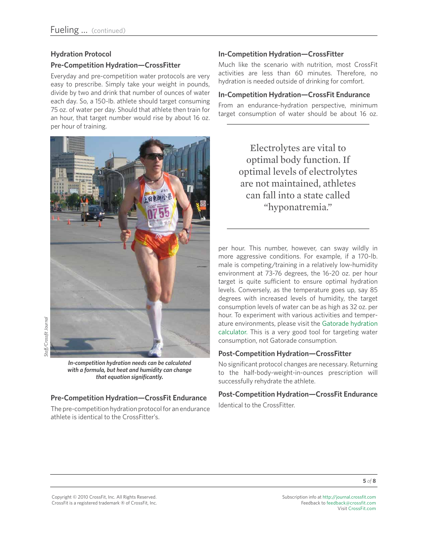# **Hydration Protocol**

# **Pre-Competition Hydration—CrossFitter**

Everyday and pre-competition water protocols are very easy to prescribe. Simply take your weight in pounds, divide by two and drink that number of ounces of water each day. So, a 150-lb. athlete should target consuming 75 oz. of water per day. Should that athlete then train for an hour, that target number would rise by about 16 oz. per hour of training.



*In-competition hydration needs can be calculated with a formula, but heat and humidity can change that equation significantly.*

# **Pre-Competition Hydration—CrossFit Endurance**

The pre-competition hydration protocol for an endurance athlete is identical to the CrossFitter's.

# **In-Competition Hydration—CrossFitter**

Much like the scenario with nutrition, most CrossFit activities are less than 60 minutes. Therefore, no hydration is needed outside of drinking for comfort.

# **In-Competition Hydration—CrossFit Endurance**

From an endurance-hydration perspective, minimum target consumption of water should be about 16 oz.

> Electrolytes are vital to optimal body function. If optimal levels of electrolytes are not maintained, athletes can fall into a state called "hyponatremia."

per hour. This number, however, can sway wildly in more aggressive conditions. For example, if a 170-lb. male is competing/training in a relatively low-humidity environment at 73-76 degrees, the 16-20 oz. per hour target is quite sufficient to ensure optimal hydration levels. Conversely, as the temperature goes up, say 85 degrees with increased levels of humidity, the target consumption levels of water can be as high as 32 oz. per hour. To experiment with various activities and temperature environments, please visit the [Gatorade hydration](http://www.gatorade.co.uk/) [calculator.](http://www.gatorade.co.uk/) This is a very good tool for targeting water consumption, not Gatorade consumption.

# **Post-Competition Hydration—CrossFitter**

No significant protocol changes are necessary. Returning to the half-body-weight-in-ounces prescription will successfully rehydrate the athlete.

**Post-Competition Hydration—CrossFit Endurance** Identical to the CrossFitter.

Copyright © 2010 CrossFit, Inc. All Rights Reserved. CrossFit is a registered trademark ‰ of CrossFit, Inc.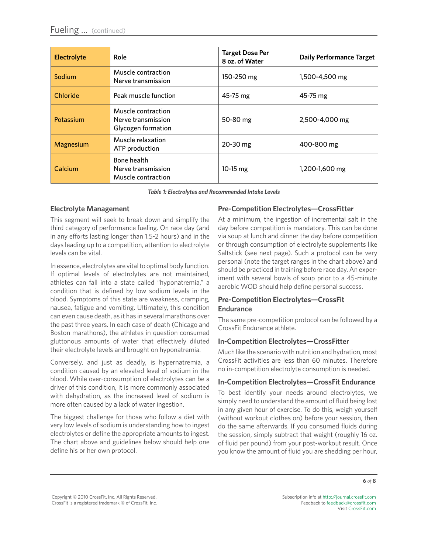| <b>Electrolyte</b> | <b>Role</b>                                                    | <b>Target Dose Per</b><br>8 oz. of Water | <b>Daily Performance Target</b> |
|--------------------|----------------------------------------------------------------|------------------------------------------|---------------------------------|
| Sodium             | Muscle contraction<br>Nerve transmission                       | 150-250 mg                               | 1,500-4,500 mg                  |
| Chloride           | Peak muscle function                                           | $45 - 75$ mg                             | $45 - 75$ mg                    |
| Potassium          | Muscle contraction<br>Nerve transmission<br>Glycogen formation | 50-80 mg                                 | 2,500-4,000 mg                  |
| Magnesium          | Muscle relaxation<br>ATP production                            | 20-30 mg                                 | 400-800 mg                      |
| Calcium            | Bone health<br>Nerve transmission<br>Muscle contraction        | 10-15 mg                                 | 1,200-1,600 mg                  |

*Table 1: Electrolytes and Recommended Intake Levels*

# **Electrolyte Management**

This segment will seek to break down and simplify the third category of performance fueling. On race day (and in any efforts lasting longer than 1.5-2 hours) and in the days leading up to a competition, attention to electrolyte levels can be vital.

In essence, electrolytes are vital to optimal body function. If optimal levels of electrolytes are not maintained, athletes can fall into a state called "hyponatremia," a condition that is defined by low sodium levels in the blood. Symptoms of this state are weakness, cramping, nausea, fatigue and vomiting. Ultimately, this condition can even cause death, as it has in several marathons over the past three years. In each case of death (Chicago and Boston marathons), the athletes in question consumed gluttonous amounts of water that effectively diluted their electrolyte levels and brought on hyponatremia.

Conversely, and just as deadly, is hypernatremia, a condition caused by an elevated level of sodium in the blood. While over-consumption of electrolytes can be a driver of this condition, it is more commonly associated with dehydration, as the increased level of sodium is more often caused by a lack of water ingestion.

The biggest challenge for those who follow a diet with very low levels of sodium is understanding how to ingest electrolytes or define the appropriate amounts to ingest. The chart above and guidelines below should help one define his or her own protocol.

# **Pre-Competition Electrolytes—CrossFitter**

At a minimum, the ingestion of incremental salt in the day before competition is mandatory. This can be done via soup at lunch and dinner the day before competition or through consumption of electrolyte supplements like Saltstick (see next page). Such a protocol can be very personal (note the target ranges in the chart above) and should be practiced in training before race day. An experiment with several bowls of soup prior to a 45-minute aerobic WOD should help define personal success.

# **Pre-Competition Electrolytes—CrossFit Endurance**

The same pre-competition protocol can be followed by a CrossFit Endurance athlete.

# **In-Competition Electrolytes—CrossFitter**

Much like the scenario with nutrition and hydration, most CrossFit activities are less than 60 minutes. Therefore no in-competition electrolyte consumption is needed.

# **In-Competition Electrolytes—CrossFit Endurance**

To best identify your needs around electrolytes, we simply need to understand the amount of fluid being lost in any given hour of exercise. To do this, weigh yourself (without workout clothes on) before your session, then do the same afterwards. If you consumed fluids during the session, simply subtract that weight (roughly 16 oz. of fluid per pound) from your post-workout result. Once you know the amount of fluid you are shedding per hour,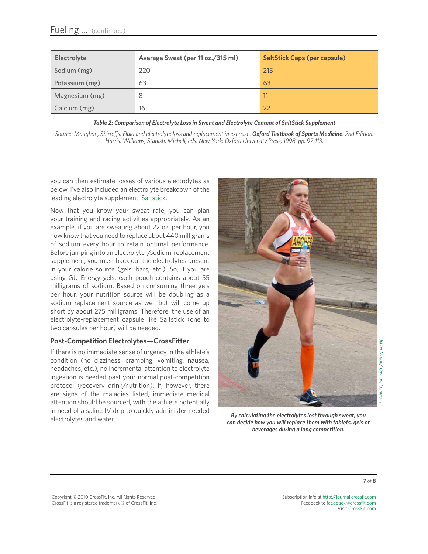| Electrolyte    | Average Sweat (per 11 oz./315 ml) | <b>SaltStick Caps (per capsule)</b> |
|----------------|-----------------------------------|-------------------------------------|
| Sodium (mg)    | 220                               | 215                                 |
| Potassium (mg) | 63                                | 63                                  |
| Magnesium (mg) | -8                                | 11                                  |
| Calcium (mg)   | 16                                | 22                                  |

*Table 2: Comparison of Electrolyte Loss in Sweat and Electrolyte Content of SaltStick Supplement*

*Source: Maughan, Shirreffs. Fluid and electrolyte loss and replacement in exercise. Oxford Textbook of Sports Medicine. 2nd Edition. Harris, Williams, Stanish, Micheli, eds. New York: Oxford University Press, 1998. pp. 97-113.*

you can then estimate losses of various electrolytes as below. I've also included an electrolyte breakdown of the leading electrolyte supplement, [Saltstick.](http://www.saltstick.com)

Now that you know your sweat rate, you can plan your training and racing activities appropriately. As an example, if you are sweating about 22 oz. per hour, you now know that you need to replace about 440 milligrams of sodium every hour to retain optimal performance. Before jumping into an electrolyte-/sodium-replacement supplement, you must back out the electrolytes present in your calorie source (gels, bars, etc.). So, if you are using GU Energy gels, each pouch contains about 55 milligrams of sodium. Based on consuming three gels per hour, your nutrition source will be doubling as a sodium replacement source as well but will come up short by about 275 milligrams. Therefore, the use of an electrolyte-replacement capsule like Saltstick (one to two capsules per hour) will be needed.

# **Post-Competition Electrolytes—CrossFitter**

If there is no immediate sense of urgency in the athlete's condition (no dizziness, cramping, vomiting, nausea, headaches, etc.), no incremental attention to electrolyte ingestion is needed past your normal post-competition protocol (recovery drink/nutrition). If, however, there are signs of the maladies listed, immediate medical attention should be sourced, with the athlete potentially in need of a saline IV drip to quickly administer needed electrolytes and water.



*By calculating the electrolytes lost through sweat, you can decide how you will replace them with tablets, gels or beverages during a long competition.*

Copyright © 2010 CrossFit, Inc. All Rights Reserved. CrossFit is a registered trademark ‰ of CrossFit, Inc.

Subscription info at <http://journal.crossfit.com> Feedback to [feedback@crossfit.com](mailto:feedback@crossfit.com) Visit [CrossFit.com](http://www.westside-barbell.com/)